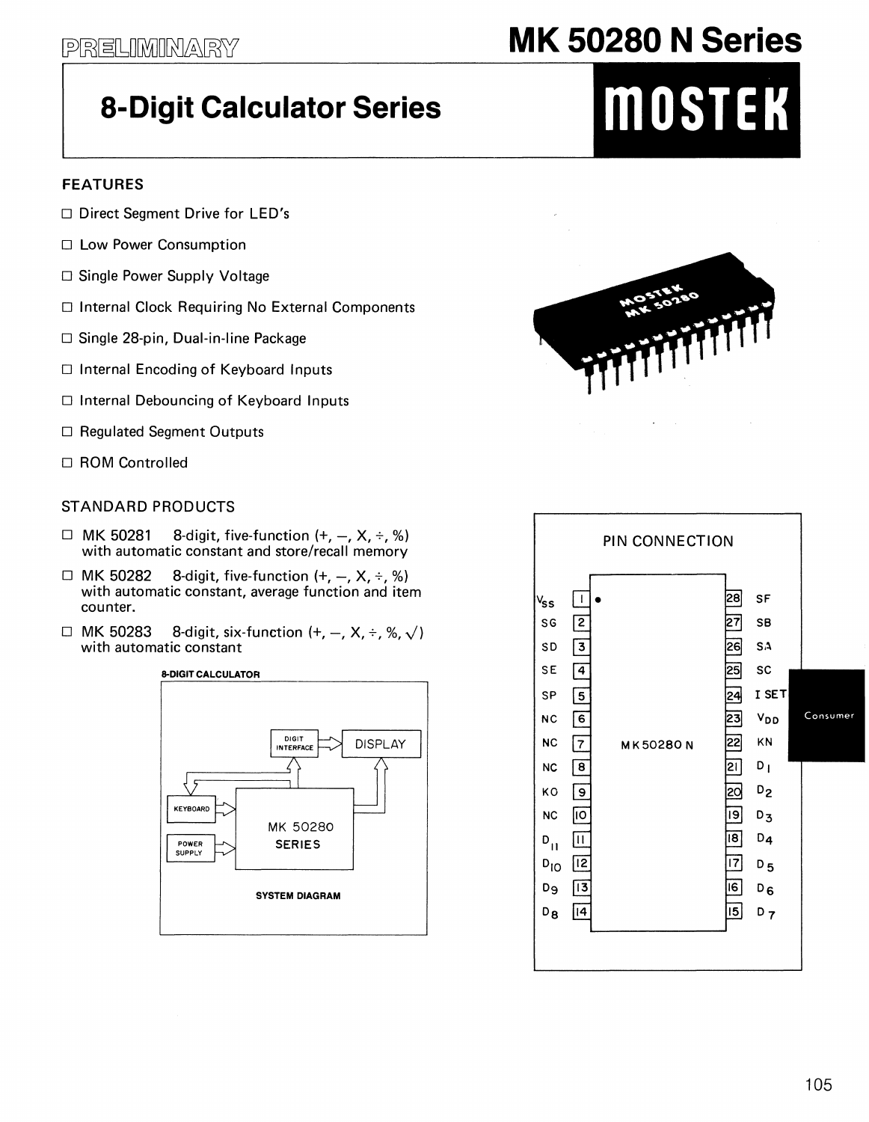# **8-Digit Calculator Series**

### **FEATURES**

- $\Box$  Direct Segment Drive for LED's
- □ Low Power Consumption
- □ Single Power Supply Voltage
- □ Internal Clock Requiring No External Components
- □ Single 28-pin, Dual-in-line Package
- □ Internal Encoding of Keyboard Inputs
- □ Internal Debouncing of Keyboard Inputs
- □ Regulated Segment Outputs
- □ ROM Controlled

#### STANDARD PRODUCTS

- $\Box$  MK 50281 8-digit, five-function  $(+, -, X, \div, \%)$ with automatic constant and store/recall memory
- $\Box$  MK 50282 8-digit, five-function  $(+, -, X, \div, \%)$ with automatic constant, average function and item counter.
- $\Box$  MK 50283 8-digit, six-function  $(+, -, X, \div, \%, \sqrt{})$ with automatic constant